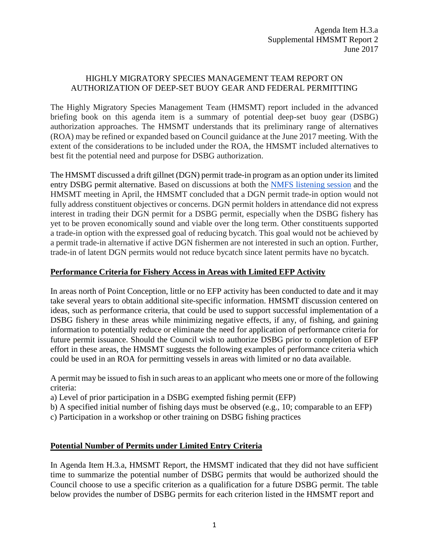## HIGHLY MIGRATORY SPECIES MANAGEMENT TEAM REPORT ON AUTHORIZATION OF DEEP-SET BUOY GEAR AND FEDERAL PERMITTING

The Highly Migratory Species Management Team (HMSMT) report included in the advanced briefing book on this agenda item is a summary of potential deep-set buoy gear (DSBG) authorization approaches. The HMSMT understands that its preliminary range of alternatives (ROA) may be refined or expanded based on Council guidance at the June 2017 meeting. With the extent of the considerations to be included under the ROA, the HMSMT included alternatives to best fit the potential need and purpose for DSBG authorization.

The HMSMT discussed a drift gillnet (DGN) permit trade-in program as an option under its limited entry DSBG permit alternative. Based on discussions at both the [NMFS listening session](http://www.pcouncil.org/wp-content/uploads/2017/06/H3a_Sup_NMFS_Rpt_DSBG_Alts_JUNE2017BB.pdf) and the HMSMT meeting in April, the HMSMT concluded that a DGN permit trade-in option would not fully address constituent objectives or concerns. DGN permit holders in attendance did not express interest in trading their DGN permit for a DSBG permit, especially when the DSBG fishery has yet to be proven economically sound and viable over the long term. Other constituents supported a trade-in option with the expressed goal of reducing bycatch. This goal would not be achieved by a permit trade-in alternative if active DGN fishermen are not interested in such an option. Further, trade-in of latent DGN permits would not reduce bycatch since latent permits have no bycatch.

## **Performance Criteria for Fishery Access in Areas with Limited EFP Activity**

In areas north of Point Conception, little or no EFP activity has been conducted to date and it may take several years to obtain additional site-specific information. HMSMT discussion centered on ideas, such as performance criteria, that could be used to support successful implementation of a DSBG fishery in these areas while minimizing negative effects, if any, of fishing, and gaining information to potentially reduce or eliminate the need for application of performance criteria for future permit issuance. Should the Council wish to authorize DSBG prior to completion of EFP effort in these areas, the HMSMT suggests the following examples of performance criteria which could be used in an ROA for permitting vessels in areas with limited or no data available.

A permit may be issued to fish in such areas to an applicant who meets one or more of the following criteria:

- a) Level of prior participation in a DSBG exempted fishing permit (EFP)
- b) A specified initial number of fishing days must be observed (e.g., 10; comparable to an EFP)
- c) Participation in a workshop or other training on DSBG fishing practices

## **Potential Number of Permits under Limited Entry Criteria**

In Agenda Item H.3.a, HMSMT Report, the HMSMT indicated that they did not have sufficient time to summarize the potential number of DSBG permits that would be authorized should the Council choose to use a specific criterion as a qualification for a future DSBG permit. The table below provides the number of DSBG permits for each criterion listed in the HMSMT report and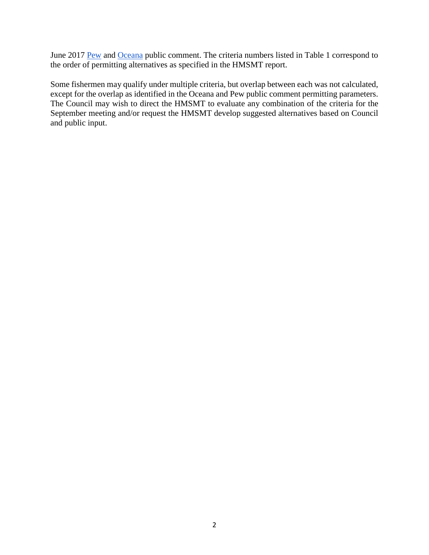June 2017 [Pew](http://www.pcouncil.org/wp-content/uploads/2017/06/H3b_Sup_PubCom2_FullElectronicOnly_Jun2017BB.pdf) and [Oceana](http://www.pcouncil.org/wp-content/uploads/2017/05/H3b_PubCom_Jun2017BB.pdf) public comment. The criteria numbers listed in Table 1 correspond to the order of permitting alternatives as specified in the HMSMT report.

Some fishermen may qualify under multiple criteria, but overlap between each was not calculated, except for the overlap as identified in the Oceana and Pew public comment permitting parameters. The Council may wish to direct the HMSMT to evaluate any combination of the criteria for the September meeting and/or request the HMSMT develop suggested alternatives based on Council and public input.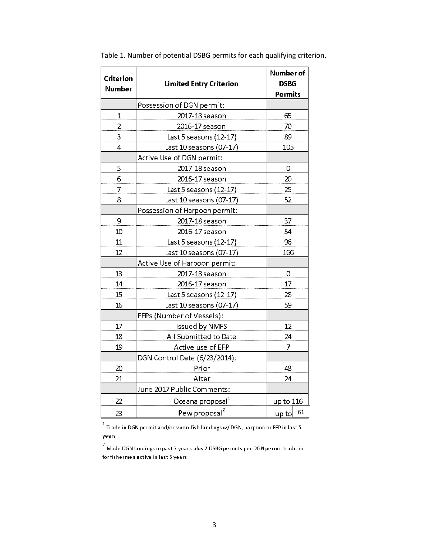| <b>Criterion</b> |                                | Number of      |
|------------------|--------------------------------|----------------|
| <b>Number</b>    | <b>Limited Entry Criterion</b> | <b>DSBG</b>    |
|                  |                                | <b>Permits</b> |
|                  | Possession of DGN permit:      |                |
| $\mathbf 1$      | 2017-18 season                 | 65             |
| 2                | 2016-17 season                 | 70             |
| 3                | Last 5 seasons (12-17)         | 89             |
| 4                | Last 10 seasons (07-17)        | 105            |
|                  | Active Use of DGN permit:      |                |
| 5                | 2017-18 season                 | 0              |
| 6                | 2016-17 season                 | 20             |
| 7                | Last 5 seasons (12-17)         | 25             |
| 8                | Last 10 seasons (07-17)        | 52             |
|                  | Possession of Harpoon permit:  |                |
| 9                | 2017-18 season                 | 37             |
| 10               | 2016-17 season                 | 54             |
| 11               | Last 5 seasons (12-17)         | 96             |
| 12               | Last 10 seasons (07-17)        | 166            |
|                  | Active Use of Harpoon permit:  |                |
| 13               | 2017-18 season                 | 0              |
| 14               | 2016-17 season                 | 17             |
| 15               | Last 5 seasons (12-17)         | 28             |
| 16               | Last 10 seasons (07-17)        | 59             |
|                  | EFPs (Number of Vessels):      |                |
| 17               | Issued by NMFS                 | 12             |
| 18               | All Submitted to Date          | 24             |
| 19               | Active use of EFP              | $\overline{7}$ |
|                  | DGN Control Date (6/23/2014):  |                |
| 20               | Prior                          | 48             |
| 21               | After                          | 24             |
|                  | June 2017 Public Comments:     |                |
| 22               | Oceana proposal <sup>1</sup>   | up to 116      |
| 23               | Pew proposal <sup>2</sup>      | 61<br>up to    |
|                  |                                |                |

Table 1. Number of potential DSBG permits for each qualifying criterion.

 $^{\rm 1}$  Trade in DGN permit and/or swordfish landings w/ DGN, harpoon or EFP in last 5 years

 $^2$  Made DGN landings in past 7 years plus 2 DSBG permits per DGN permit trade-in for fishermen active in last 5 years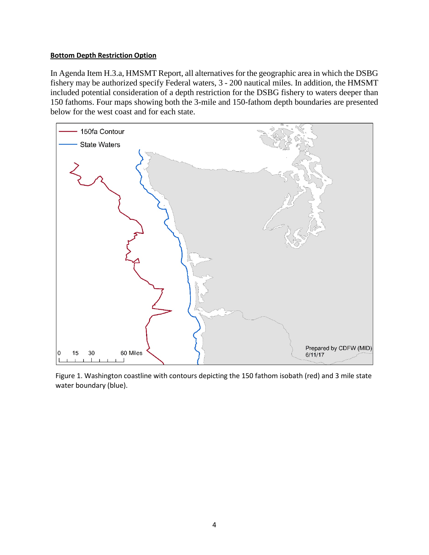## **Bottom Depth Restriction Option**

In Agenda Item H.3.a, HMSMT Report, all alternatives for the geographic area in which the DSBG fishery may be authorized specify Federal waters, 3 - 200 nautical miles. In addition, the HMSMT included potential consideration of a depth restriction for the DSBG fishery to waters deeper than 150 fathoms. Four maps showing both the 3-mile and 150-fathom depth boundaries are presented below for the west coast and for each state.



Figure 1. Washington coastline with contours depicting the 150 fathom isobath (red) and 3 mile state water boundary (blue).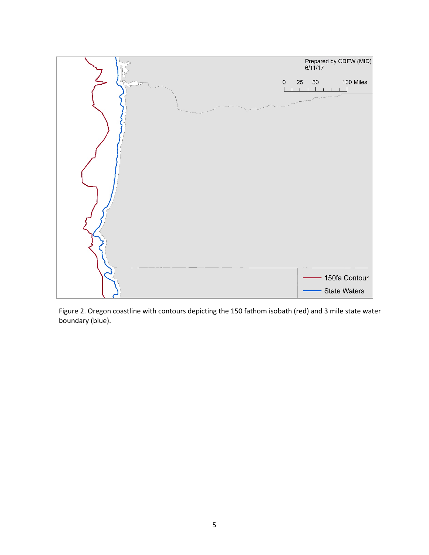

Figure 2. Oregon coastline with contours depicting the 150 fathom isobath (red) and 3 mile state water boundary (blue).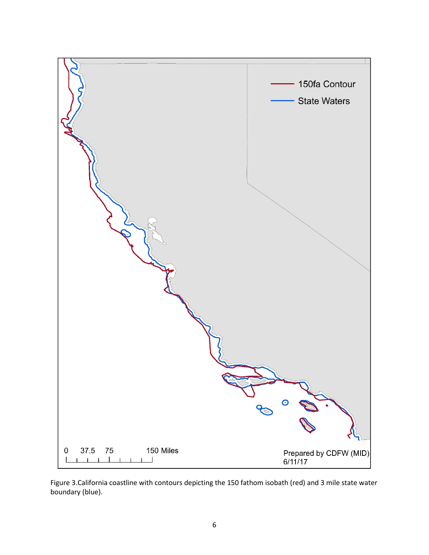

Figure 3.California coastline with contours depicting the 150 fathom isobath (red) and 3 mile state water boundary (blue).